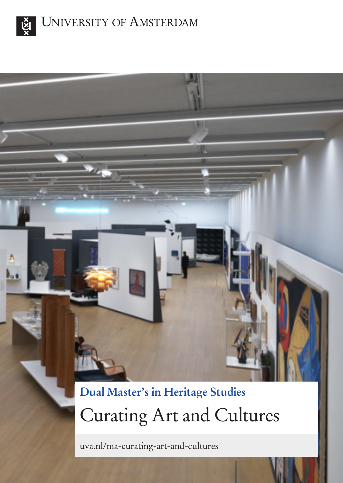



# **Dual Master's in Heritage Studies** Curating Art and Cultures

uva.nl/ma-curating-art-and-cultures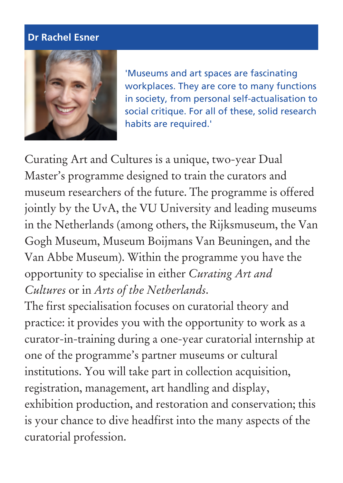#### **Dr Rachel Esner**



'Museums and art spaces are fascinating workplaces. They are core to many functions in society, from personal self-actualisation to social critique. For all of these, solid research habits are required.'

Curating Art and Cultures is a unique, two-year Dual Master's programme designed to train the curators and museum researchers of the future. The programme is offered jointly by the UvA, the VU University and leading museums in the Netherlands (among others, the Rijksmuseum, the Van Gogh Museum, Museum Boijmans Van Beuningen, and the Van Abbe Museum). Within the programme you have the opportunity to specialise in either *Curating Art and Cultures* or in *Arts of the Netherlands*.

The first specialisation focuses on curatorial theory and practice: it provides you with the opportunity to work as a curator-in-training during a one-year curatorial internship at one of the programme's partner museums or cultural institutions. You will take part in collection acquisition, registration, management, art handling and display, exhibition production, and restoration and conservation; this is your chance to dive headfirst into the many aspects of the curatorial profession.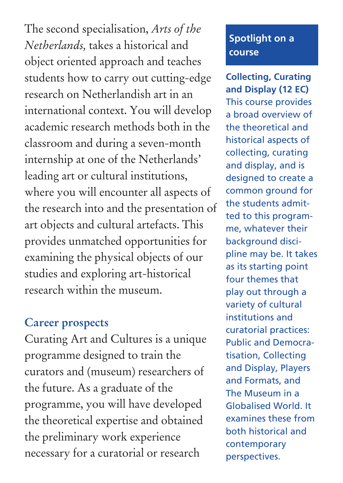The second specialisation, *Arts of the Netherlands,* takes a historical and object oriented approach and teaches students how to carry out cutting-edge research on Netherlandish art in an international context. You will develop academic research methods both in the classroom and during a seven-month internship at one of the Netherlands' leading art or cultural institutions, where you will encounter all aspects of the research into and the presentation of art objects and cultural artefacts. This provides unmatched opportunities for examining the physical objects of our studies and exploring art-historical research within the museum.

## **Career prospects**

Curating Art and Cultures is a unique programme designed to train the curators and (museum) researchers of the future. As a graduate of the programme, you will have developed the theoretical expertise and obtained the preliminary work experience necessary for a curatorial or research

## **Spotlight on a course**

**Collecting, Curating and Display (12 EC)** This course provides a broad overview of the theoretical and historical aspects of collecting, curating and display, and is designed to create a common ground for the students admitted to this programme, whatever their background discipline may be. It takes as its starting point four themes that play out through a variety of cultural institutions and curatorial practices: Public and Democratisation, Collecting and Display, Players and Formats, and The Museum in a Globalised World. It examines these from both historical and contemporary perspectives.